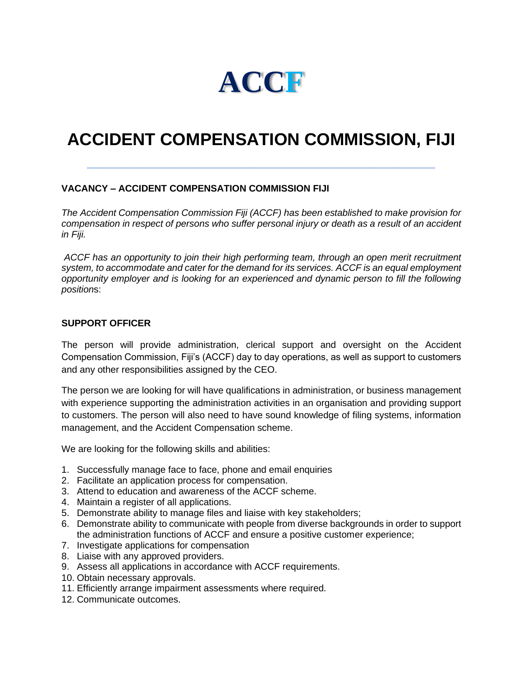

## **ACCIDENT COMPENSATION COMMISSION, FIJI**

\_\_\_\_\_\_\_\_\_\_\_\_\_\_\_\_\_\_\_\_\_\_\_\_\_\_\_\_\_\_\_\_\_\_\_\_\_\_\_\_\_\_\_\_\_\_\_\_\_\_\_\_\_\_\_\_\_\_\_\_\_\_\_\_\_\_\_\_\_\_\_\_\_\_\_\_\_\_\_\_\_\_

## **VACANCY – ACCIDENT COMPENSATION COMMISSION FIJI**

*The Accident Compensation Commission Fiji (ACCF) has been established to make provision for compensation in respect of persons who suffer personal injury or death as a result of an accident in Fiji.* 

*ACCF has an opportunity to join their high performing team, through an open merit recruitment system, to accommodate and cater for the demand for its services. ACCF is an equal employment opportunity employer and is looking for an experienced and dynamic person to fill the following position*s:

## **SUPPORT OFFICER**

The person will provide administration, clerical support and oversight on the Accident Compensation Commission, Fiji's (ACCF) day to day operations, as well as support to customers and any other responsibilities assigned by the CEO.

The person we are looking for will have qualifications in administration, or business management with experience supporting the administration activities in an organisation and providing support to customers. The person will also need to have sound knowledge of filing systems, information management, and the Accident Compensation scheme.

We are looking for the following skills and abilities:

- 1. Successfully manage face to face, phone and email enquiries
- 2. Facilitate an application process for compensation.
- 3. Attend to education and awareness of the ACCF scheme.
- 4. Maintain a register of all applications.
- 5. Demonstrate ability to manage files and liaise with key stakeholders;
- 6. Demonstrate ability to communicate with people from diverse backgrounds in order to support the administration functions of ACCF and ensure a positive customer experience;
- 7. Investigate applications for compensation
- 8. Liaise with any approved providers.
- 9. Assess all applications in accordance with ACCF requirements.
- 10. Obtain necessary approvals.
- 11. Efficiently arrange impairment assessments where required.
- 12. Communicate outcomes.